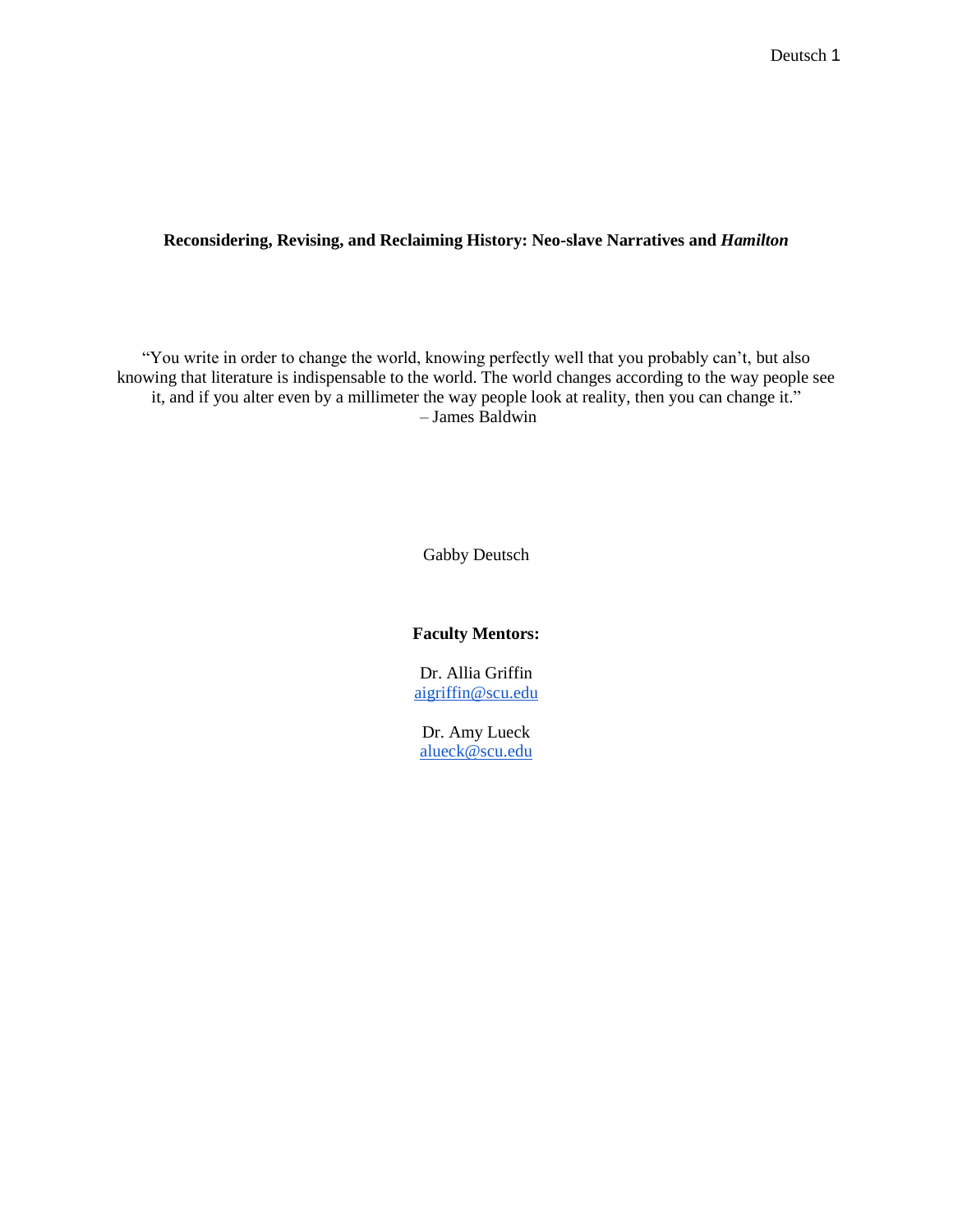### **Reconsidering, Revising, and Reclaiming History: Neo-slave Narratives and** *Hamilton*

"You write in order to change the world, knowing perfectly well that you probably can't, but also knowing that literature is indispensable to the world. The world changes according to the way people see it, and if you alter even by a millimeter the way people look at reality, then you can change it." – James Baldwin

Gabby Deutsch

#### **Faculty Mentors:**

Dr. Allia Griffin [aigriffin@scu.edu](mailto:aigriffin@scu.edu)

Dr. Amy Lueck [alueck@scu.edu](mailto:alueck@scu.edu)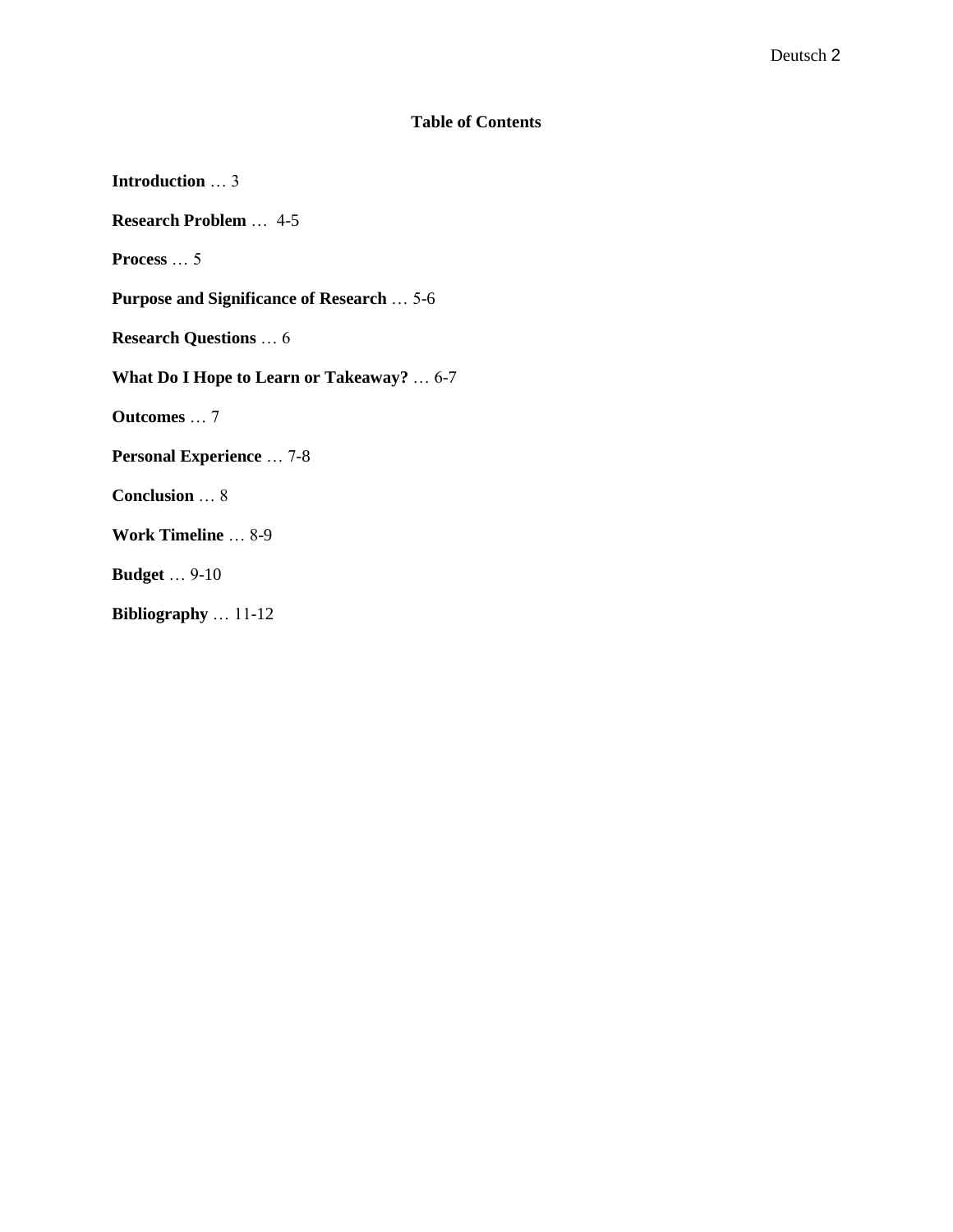# **Table of Contents**

| <b>Introduction</b> 3                            |
|--------------------------------------------------|
| <b>Research Problem</b> 4-5                      |
| <b>Process</b> $\ldots$ 5                        |
| <b>Purpose and Significance of Research  5-6</b> |
| <b>Research Questions</b> 6                      |
| What Do I Hope to Learn or Takeaway? $\dots$ 6-7 |
| <b>Outcomes</b> 7                                |
| <b>Personal Experience</b> 7-8                   |
| <b>Conclusion</b> 8                              |
| Work Timeline  8-9                               |
| <b>Budget</b> 9-10                               |
| Bibliography $\dots$ 11-12                       |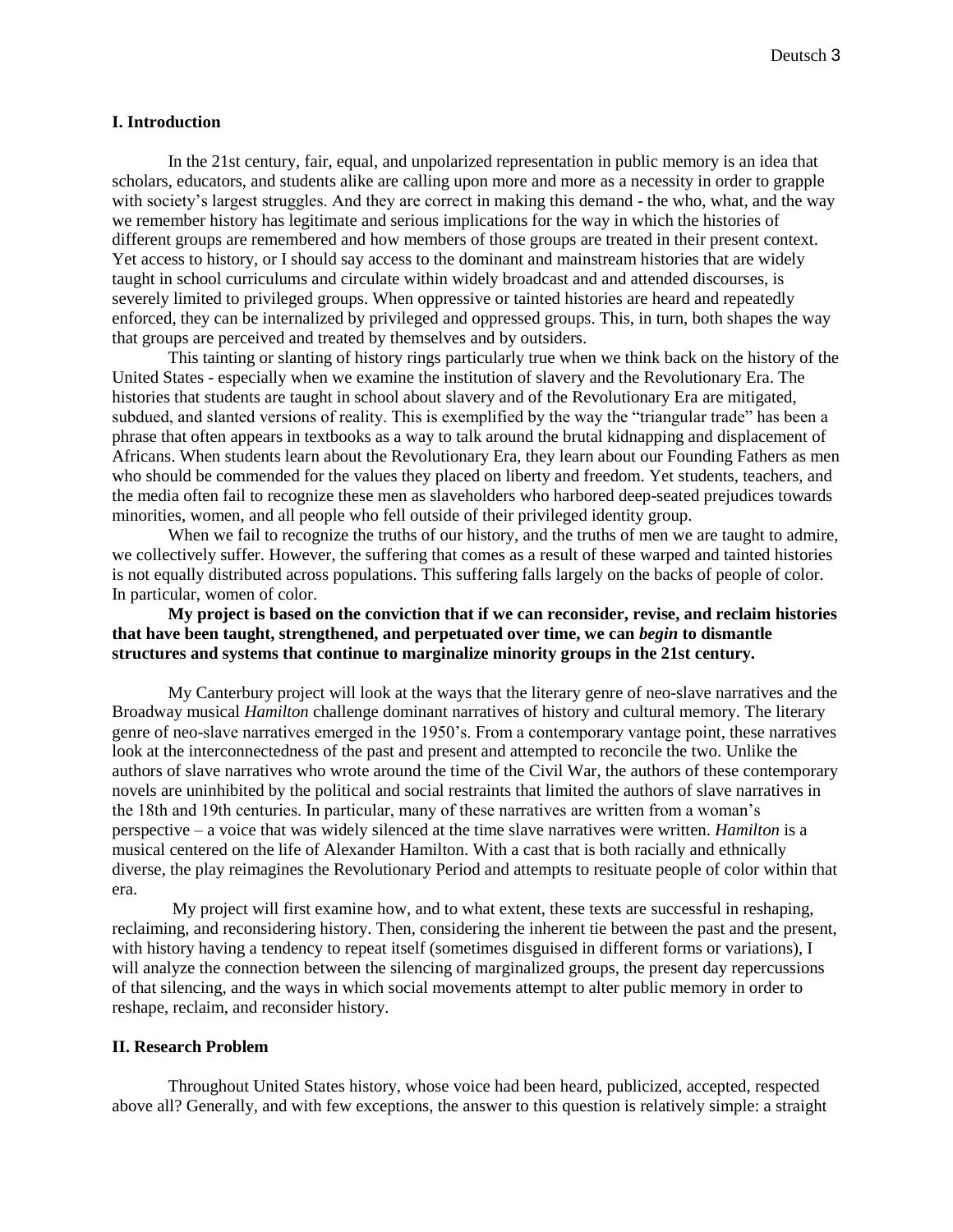#### **I. Introduction**

In the 21st century, fair, equal, and unpolarized representation in public memory is an idea that scholars, educators, and students alike are calling upon more and more as a necessity in order to grapple with society's largest struggles. And they are correct in making this demand - the who, what, and the way we remember history has legitimate and serious implications for the way in which the histories of different groups are remembered and how members of those groups are treated in their present context. Yet access to history, or I should say access to the dominant and mainstream histories that are widely taught in school curriculums and circulate within widely broadcast and and attended discourses, is severely limited to privileged groups. When oppressive or tainted histories are heard and repeatedly enforced, they can be internalized by privileged and oppressed groups. This, in turn, both shapes the way that groups are perceived and treated by themselves and by outsiders.

This tainting or slanting of history rings particularly true when we think back on the history of the United States - especially when we examine the institution of slavery and the Revolutionary Era. The histories that students are taught in school about slavery and of the Revolutionary Era are mitigated, subdued, and slanted versions of reality. This is exemplified by the way the "triangular trade" has been a phrase that often appears in textbooks as a way to talk around the brutal kidnapping and displacement of Africans. When students learn about the Revolutionary Era, they learn about our Founding Fathers as men who should be commended for the values they placed on liberty and freedom. Yet students, teachers, and the media often fail to recognize these men as slaveholders who harbored deep-seated prejudices towards minorities, women, and all people who fell outside of their privileged identity group.

When we fail to recognize the truths of our history, and the truths of men we are taught to admire, we collectively suffer. However, the suffering that comes as a result of these warped and tainted histories is not equally distributed across populations. This suffering falls largely on the backs of people of color. In particular, women of color.

### **My project is based on the conviction that if we can reconsider, revise, and reclaim histories that have been taught, strengthened, and perpetuated over time, we can** *begin* **to dismantle structures and systems that continue to marginalize minority groups in the 21st century.**

My Canterbury project will look at the ways that the literary genre of neo-slave narratives and the Broadway musical *Hamilton* challenge dominant narratives of history and cultural memory. The literary genre of neo-slave narratives emerged in the 1950's. From a contemporary vantage point, these narratives look at the interconnectedness of the past and present and attempted to reconcile the two. Unlike the authors of slave narratives who wrote around the time of the Civil War, the authors of these contemporary novels are uninhibited by the political and social restraints that limited the authors of slave narratives in the 18th and 19th centuries. In particular, many of these narratives are written from a woman's perspective – a voice that was widely silenced at the time slave narratives were written. *Hamilton* is a musical centered on the life of Alexander Hamilton. With a cast that is both racially and ethnically diverse, the play reimagines the Revolutionary Period and attempts to resituate people of color within that era.

My project will first examine how, and to what extent, these texts are successful in reshaping, reclaiming, and reconsidering history. Then, considering the inherent tie between the past and the present, with history having a tendency to repeat itself (sometimes disguised in different forms or variations), I will analyze the connection between the silencing of marginalized groups, the present day repercussions of that silencing, and the ways in which social movements attempt to alter public memory in order to reshape, reclaim, and reconsider history.

#### **II. Research Problem**

Throughout United States history, whose voice had been heard, publicized, accepted, respected above all? Generally, and with few exceptions, the answer to this question is relatively simple: a straight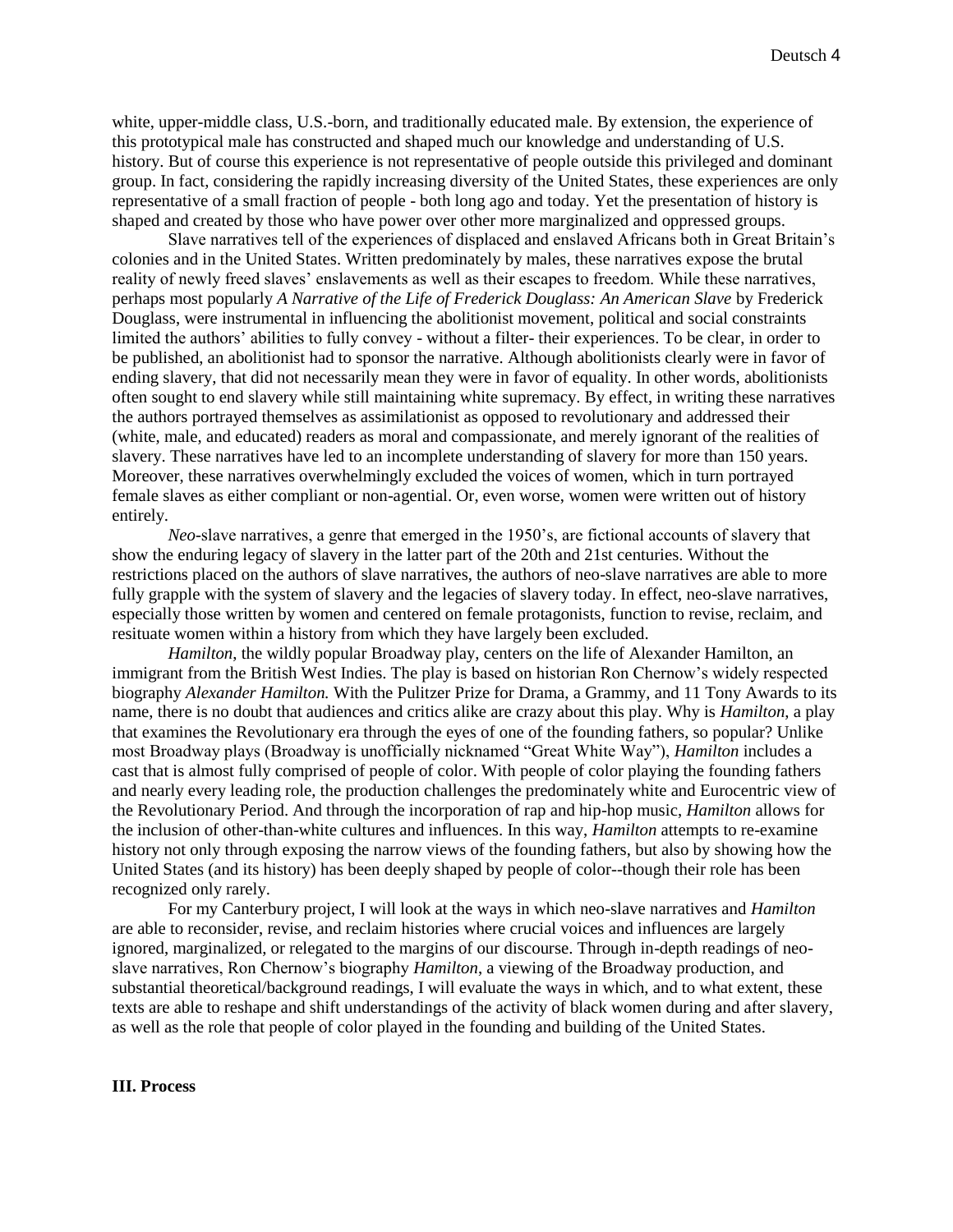white, upper-middle class, U.S.-born, and traditionally educated male. By extension, the experience of this prototypical male has constructed and shaped much our knowledge and understanding of U.S. history. But of course this experience is not representative of people outside this privileged and dominant group. In fact, considering the rapidly increasing diversity of the United States, these experiences are only representative of a small fraction of people - both long ago and today. Yet the presentation of history is shaped and created by those who have power over other more marginalized and oppressed groups.

Slave narratives tell of the experiences of displaced and enslaved Africans both in Great Britain's colonies and in the United States. Written predominately by males, these narratives expose the brutal reality of newly freed slaves' enslavements as well as their escapes to freedom. While these narratives, perhaps most popularly *A Narrative of the Life of Frederick Douglass: An American Slave* by Frederick Douglass, were instrumental in influencing the abolitionist movement, political and social constraints limited the authors' abilities to fully convey - without a filter- their experiences. To be clear, in order to be published, an abolitionist had to sponsor the narrative. Although abolitionists clearly were in favor of ending slavery, that did not necessarily mean they were in favor of equality. In other words, abolitionists often sought to end slavery while still maintaining white supremacy. By effect, in writing these narratives the authors portrayed themselves as assimilationist as opposed to revolutionary and addressed their (white, male, and educated) readers as moral and compassionate, and merely ignorant of the realities of slavery. These narratives have led to an incomplete understanding of slavery for more than 150 years. Moreover, these narratives overwhelmingly excluded the voices of women, which in turn portrayed female slaves as either compliant or non-agential. Or, even worse, women were written out of history entirely.

*Neo*-slave narratives, a genre that emerged in the 1950's, are fictional accounts of slavery that show the enduring legacy of slavery in the latter part of the 20th and 21st centuries. Without the restrictions placed on the authors of slave narratives, the authors of neo-slave narratives are able to more fully grapple with the system of slavery and the legacies of slavery today. In effect, neo-slave narratives, especially those written by women and centered on female protagonists, function to revise, reclaim, and resituate women within a history from which they have largely been excluded.

*Hamilton*, the wildly popular Broadway play, centers on the life of Alexander Hamilton, an immigrant from the British West Indies. The play is based on historian Ron Chernow's widely respected biography *Alexander Hamilton.* With the Pulitzer Prize for Drama, a Grammy, and 11 Tony Awards to its name, there is no doubt that audiences and critics alike are crazy about this play. Why is *Hamilton*, a play that examines the Revolutionary era through the eyes of one of the founding fathers, so popular? Unlike most Broadway plays (Broadway is unofficially nicknamed "Great White Way"), *Hamilton* includes a cast that is almost fully comprised of people of color. With people of color playing the founding fathers and nearly every leading role, the production challenges the predominately white and Eurocentric view of the Revolutionary Period. And through the incorporation of rap and hip-hop music, *Hamilton* allows for the inclusion of other-than-white cultures and influences. In this way, *Hamilton* attempts to re-examine history not only through exposing the narrow views of the founding fathers, but also by showing how the United States (and its history) has been deeply shaped by people of color--though their role has been recognized only rarely.

For my Canterbury project, I will look at the ways in which neo-slave narratives and *Hamilton* are able to reconsider, revise, and reclaim histories where crucial voices and influences are largely ignored, marginalized, or relegated to the margins of our discourse. Through in-depth readings of neoslave narratives, Ron Chernow's biography *Hamilton*, a viewing of the Broadway production, and substantial theoretical/background readings, I will evaluate the ways in which, and to what extent, these texts are able to reshape and shift understandings of the activity of black women during and after slavery, as well as the role that people of color played in the founding and building of the United States.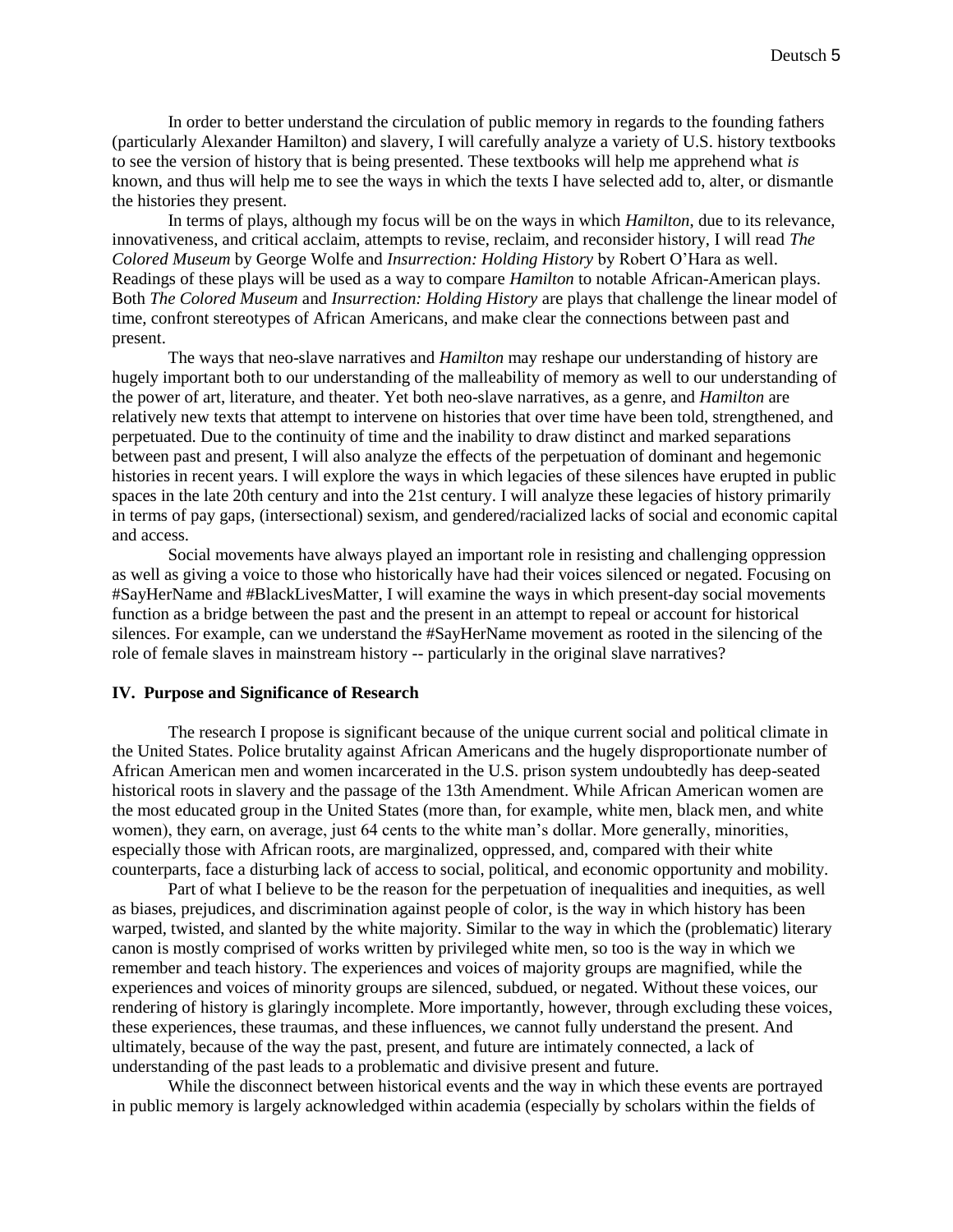In order to better understand the circulation of public memory in regards to the founding fathers (particularly Alexander Hamilton) and slavery, I will carefully analyze a variety of U.S. history textbooks to see the version of history that is being presented. These textbooks will help me apprehend what *is*  known, and thus will help me to see the ways in which the texts I have selected add to, alter, or dismantle the histories they present.

In terms of plays, although my focus will be on the ways in which *Hamilton*, due to its relevance, innovativeness, and critical acclaim, attempts to revise, reclaim, and reconsider history, I will read *The Colored Museum* by George Wolfe and *Insurrection: Holding History* by Robert O'Hara as well. Readings of these plays will be used as a way to compare *Hamilton* to notable African-American plays. Both *The Colored Museum* and *Insurrection: Holding History* are plays that challenge the linear model of time, confront stereotypes of African Americans, and make clear the connections between past and present.

The ways that neo-slave narratives and *Hamilton* may reshape our understanding of history are hugely important both to our understanding of the malleability of memory as well to our understanding of the power of art, literature, and theater. Yet both neo-slave narratives, as a genre, and *Hamilton* are relatively new texts that attempt to intervene on histories that over time have been told, strengthened, and perpetuated. Due to the continuity of time and the inability to draw distinct and marked separations between past and present, I will also analyze the effects of the perpetuation of dominant and hegemonic histories in recent years. I will explore the ways in which legacies of these silences have erupted in public spaces in the late 20th century and into the 21st century. I will analyze these legacies of history primarily in terms of pay gaps, (intersectional) sexism, and gendered/racialized lacks of social and economic capital and access.

Social movements have always played an important role in resisting and challenging oppression as well as giving a voice to those who historically have had their voices silenced or negated. Focusing on #SayHerName and #BlackLivesMatter, I will examine the ways in which present-day social movements function as a bridge between the past and the present in an attempt to repeal or account for historical silences. For example, can we understand the #SayHerName movement as rooted in the silencing of the role of female slaves in mainstream history -- particularly in the original slave narratives?

#### **IV. Purpose and Significance of Research**

The research I propose is significant because of the unique current social and political climate in the United States. Police brutality against African Americans and the hugely disproportionate number of African American men and women incarcerated in the U.S. prison system undoubtedly has deep-seated historical roots in slavery and the passage of the 13th Amendment. While African American women are the most educated group in the United States (more than, for example, white men, black men, and white women), they earn, on average, just 64 cents to the white man's dollar. More generally, minorities, especially those with African roots, are marginalized, oppressed, and, compared with their white counterparts, face a disturbing lack of access to social, political, and economic opportunity and mobility.

Part of what I believe to be the reason for the perpetuation of inequalities and inequities, as well as biases, prejudices, and discrimination against people of color, is the way in which history has been warped, twisted, and slanted by the white majority. Similar to the way in which the (problematic) literary canon is mostly comprised of works written by privileged white men, so too is the way in which we remember and teach history. The experiences and voices of majority groups are magnified, while the experiences and voices of minority groups are silenced, subdued, or negated. Without these voices, our rendering of history is glaringly incomplete. More importantly, however, through excluding these voices, these experiences, these traumas, and these influences, we cannot fully understand the present. And ultimately, because of the way the past, present, and future are intimately connected, a lack of understanding of the past leads to a problematic and divisive present and future.

While the disconnect between historical events and the way in which these events are portrayed in public memory is largely acknowledged within academia (especially by scholars within the fields of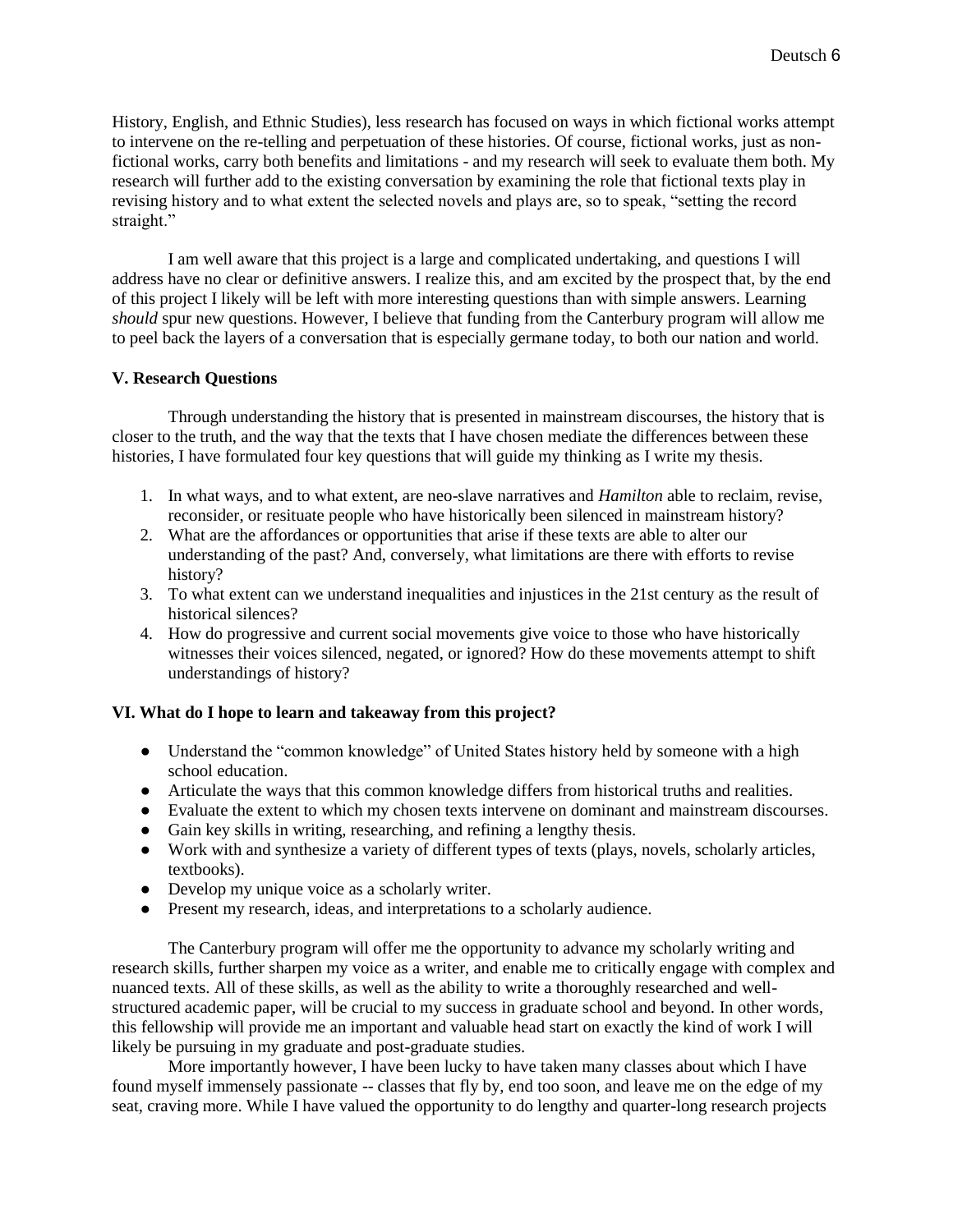History, English, and Ethnic Studies), less research has focused on ways in which fictional works attempt to intervene on the re-telling and perpetuation of these histories. Of course, fictional works, just as nonfictional works, carry both benefits and limitations - and my research will seek to evaluate them both. My research will further add to the existing conversation by examining the role that fictional texts play in revising history and to what extent the selected novels and plays are, so to speak, "setting the record straight."

I am well aware that this project is a large and complicated undertaking, and questions I will address have no clear or definitive answers. I realize this, and am excited by the prospect that, by the end of this project I likely will be left with more interesting questions than with simple answers. Learning *should* spur new questions. However, I believe that funding from the Canterbury program will allow me to peel back the layers of a conversation that is especially germane today, to both our nation and world.

# **V. Research Questions**

Through understanding the history that is presented in mainstream discourses, the history that is closer to the truth, and the way that the texts that I have chosen mediate the differences between these histories, I have formulated four key questions that will guide my thinking as I write my thesis.

- 1. In what ways, and to what extent, are neo-slave narratives and *Hamilton* able to reclaim, revise, reconsider, or resituate people who have historically been silenced in mainstream history?
- 2. What are the affordances or opportunities that arise if these texts are able to alter our understanding of the past? And, conversely, what limitations are there with efforts to revise history?
- 3. To what extent can we understand inequalities and injustices in the 21st century as the result of historical silences?
- 4. How do progressive and current social movements give voice to those who have historically witnesses their voices silenced, negated, or ignored? How do these movements attempt to shift understandings of history?

# **VI. What do I hope to learn and takeaway from this project?**

- Understand the "common knowledge" of United States history held by someone with a high school education.
- Articulate the ways that this common knowledge differs from historical truths and realities.
- Evaluate the extent to which my chosen texts intervene on dominant and mainstream discourses.
- Gain key skills in writing, researching, and refining a lengthy thesis.
- Work with and synthesize a variety of different types of texts (plays, novels, scholarly articles, textbooks).
- Develop my unique voice as a scholarly writer.
- Present my research, ideas, and interpretations to a scholarly audience.

The Canterbury program will offer me the opportunity to advance my scholarly writing and research skills, further sharpen my voice as a writer, and enable me to critically engage with complex and nuanced texts. All of these skills, as well as the ability to write a thoroughly researched and wellstructured academic paper, will be crucial to my success in graduate school and beyond. In other words, this fellowship will provide me an important and valuable head start on exactly the kind of work I will likely be pursuing in my graduate and post-graduate studies.

More importantly however, I have been lucky to have taken many classes about which I have found myself immensely passionate -- classes that fly by, end too soon, and leave me on the edge of my seat, craving more. While I have valued the opportunity to do lengthy and quarter-long research projects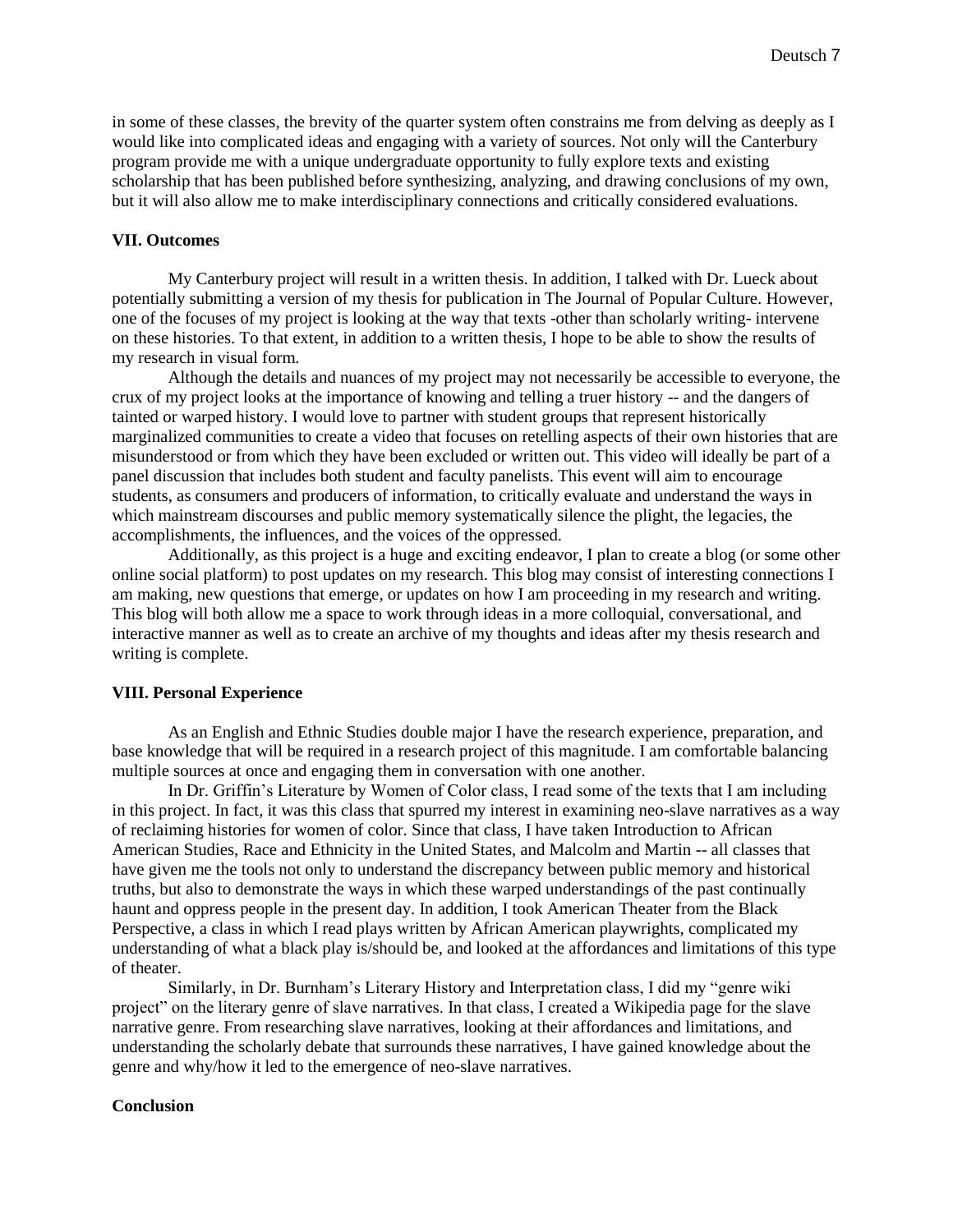in some of these classes, the brevity of the quarter system often constrains me from delving as deeply as I would like into complicated ideas and engaging with a variety of sources. Not only will the Canterbury program provide me with a unique undergraduate opportunity to fully explore texts and existing scholarship that has been published before synthesizing, analyzing, and drawing conclusions of my own, but it will also allow me to make interdisciplinary connections and critically considered evaluations.

#### **VII. Outcomes**

My Canterbury project will result in a written thesis. In addition, I talked with Dr. Lueck about potentially submitting a version of my thesis for publication in The Journal of Popular Culture. However, one of the focuses of my project is looking at the way that texts -other than scholarly writing- intervene on these histories. To that extent, in addition to a written thesis, I hope to be able to show the results of my research in visual form.

Although the details and nuances of my project may not necessarily be accessible to everyone, the crux of my project looks at the importance of knowing and telling a truer history -- and the dangers of tainted or warped history. I would love to partner with student groups that represent historically marginalized communities to create a video that focuses on retelling aspects of their own histories that are misunderstood or from which they have been excluded or written out. This video will ideally be part of a panel discussion that includes both student and faculty panelists. This event will aim to encourage students, as consumers and producers of information, to critically evaluate and understand the ways in which mainstream discourses and public memory systematically silence the plight, the legacies, the accomplishments, the influences, and the voices of the oppressed.

Additionally, as this project is a huge and exciting endeavor, I plan to create a blog (or some other online social platform) to post updates on my research. This blog may consist of interesting connections I am making, new questions that emerge, or updates on how I am proceeding in my research and writing. This blog will both allow me a space to work through ideas in a more colloquial, conversational, and interactive manner as well as to create an archive of my thoughts and ideas after my thesis research and writing is complete.

#### **VIII. Personal Experience**

As an English and Ethnic Studies double major I have the research experience, preparation, and base knowledge that will be required in a research project of this magnitude. I am comfortable balancing multiple sources at once and engaging them in conversation with one another.

In Dr. Griffin's Literature by Women of Color class, I read some of the texts that I am including in this project. In fact, it was this class that spurred my interest in examining neo-slave narratives as a way of reclaiming histories for women of color. Since that class, I have taken Introduction to African American Studies, Race and Ethnicity in the United States, and Malcolm and Martin -- all classes that have given me the tools not only to understand the discrepancy between public memory and historical truths, but also to demonstrate the ways in which these warped understandings of the past continually haunt and oppress people in the present day. In addition, I took American Theater from the Black Perspective, a class in which I read plays written by African American playwrights, complicated my understanding of what a black play is/should be, and looked at the affordances and limitations of this type of theater.

Similarly, in Dr. Burnham's Literary History and Interpretation class, I did my "genre wiki project" on the literary genre of slave narratives. In that class, I created a Wikipedia page for the slave narrative genre. From researching slave narratives, looking at their affordances and limitations, and understanding the scholarly debate that surrounds these narratives, I have gained knowledge about the genre and why/how it led to the emergence of neo-slave narratives.

#### **Conclusion**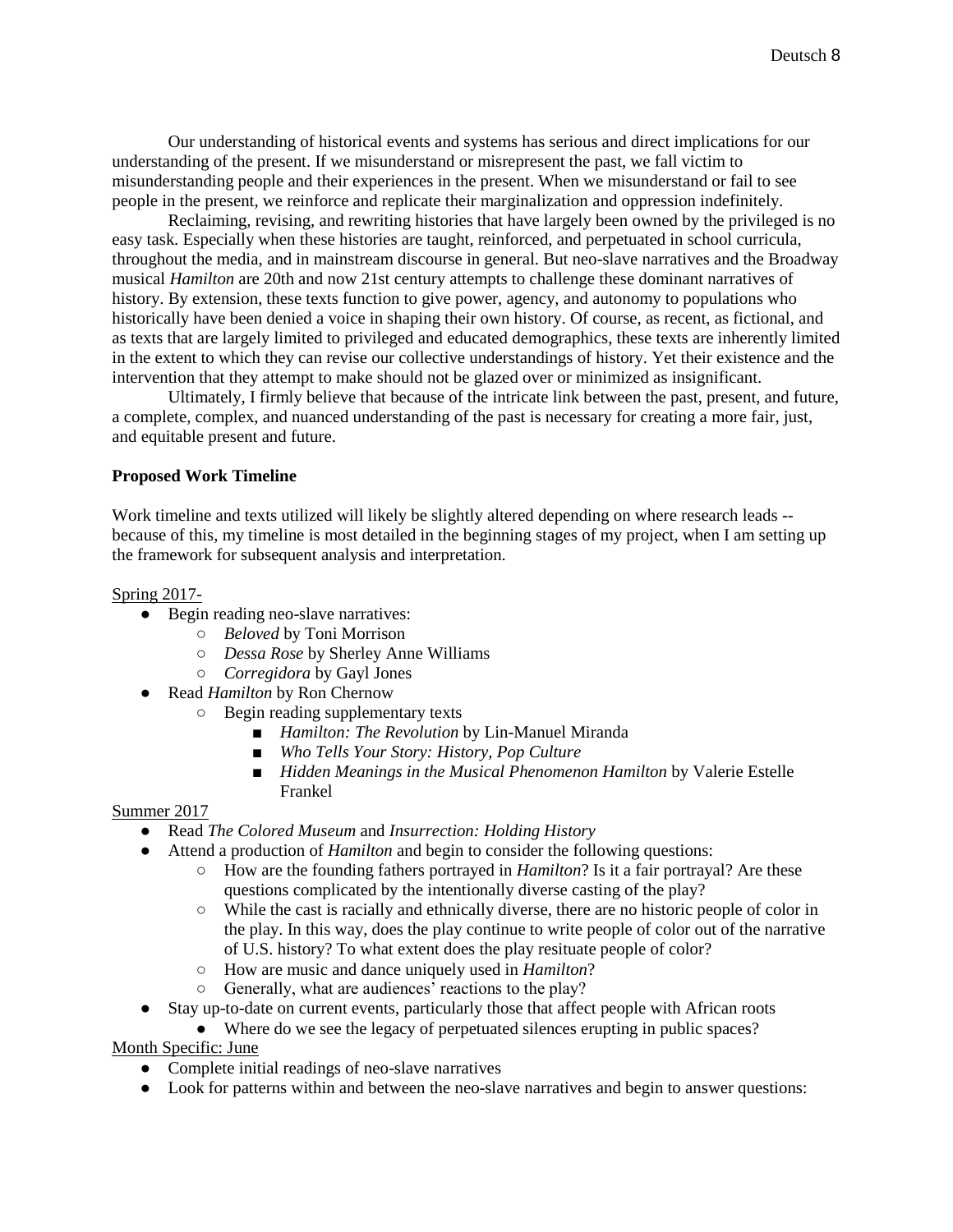Our understanding of historical events and systems has serious and direct implications for our understanding of the present. If we misunderstand or misrepresent the past, we fall victim to misunderstanding people and their experiences in the present. When we misunderstand or fail to see people in the present, we reinforce and replicate their marginalization and oppression indefinitely.

Reclaiming, revising, and rewriting histories that have largely been owned by the privileged is no easy task. Especially when these histories are taught, reinforced, and perpetuated in school curricula, throughout the media, and in mainstream discourse in general. But neo-slave narratives and the Broadway musical *Hamilton* are 20th and now 21st century attempts to challenge these dominant narratives of history. By extension, these texts function to give power, agency, and autonomy to populations who historically have been denied a voice in shaping their own history. Of course, as recent, as fictional, and as texts that are largely limited to privileged and educated demographics, these texts are inherently limited in the extent to which they can revise our collective understandings of history. Yet their existence and the intervention that they attempt to make should not be glazed over or minimized as insignificant.

Ultimately, I firmly believe that because of the intricate link between the past, present, and future, a complete, complex, and nuanced understanding of the past is necessary for creating a more fair, just, and equitable present and future.

# **Proposed Work Timeline**

Work timeline and texts utilized will likely be slightly altered depending on where research leads - because of this, my timeline is most detailed in the beginning stages of my project, when I am setting up the framework for subsequent analysis and interpretation.

### Spring 2017-

- Begin reading neo-slave narratives:
	- *Beloved* by Toni Morrison
	- *Dessa Rose* by Sherley Anne Williams
	- *Corregidora* by Gayl Jones
- Read *Hamilton* by Ron Chernow
	- Begin reading supplementary texts
		- *Hamilton: The Revolution* by Lin-Manuel Miranda
		- *Who Tells Your Story: History, Pop Culture*
		- *Hidden Meanings in the Musical Phenomenon Hamilton* by Valerie Estelle Frankel

# Summer 2017

- Read *The Colored Museum* and *Insurrection: Holding History*
- Attend a production of *Hamilton* and begin to consider the following questions:
	- How are the founding fathers portrayed in *Hamilton*? Is it a fair portrayal? Are these questions complicated by the intentionally diverse casting of the play?
	- While the cast is racially and ethnically diverse, there are no historic people of color in the play. In this way, does the play continue to write people of color out of the narrative of U.S. history? To what extent does the play resituate people of color?
	- How are music and dance uniquely used in *Hamilton*?
	- Generally, what are audiences' reactions to the play?
- Stay up-to-date on current events, particularly those that affect people with African roots
	- Where do we see the legacy of perpetuated silences erupting in public spaces?

# Month Specific: June

- Complete initial readings of neo-slave narratives
- Look for patterns within and between the neo-slave narratives and begin to answer questions: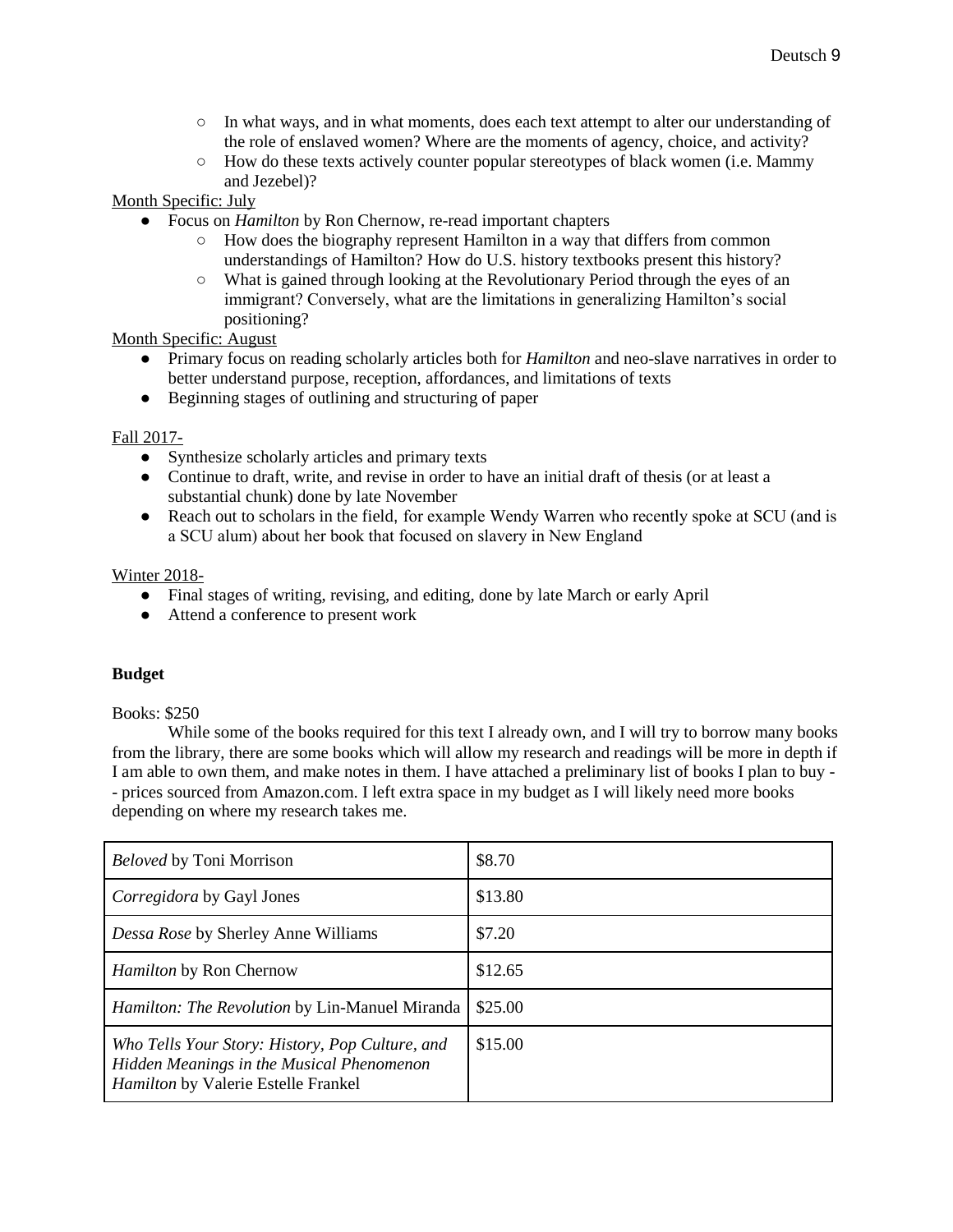- In what ways, and in what moments, does each text attempt to alter our understanding of the role of enslaved women? Where are the moments of agency, choice, and activity?
- $\circ$  How do these texts actively counter popular stereotypes of black women (i.e. Mammy and Jezebel)?

Month Specific: July

- Focus on *Hamilton* by Ron Chernow, re-read important chapters
	- How does the biography represent Hamilton in a way that differs from common understandings of Hamilton? How do U.S. history textbooks present this history?
	- What is gained through looking at the Revolutionary Period through the eyes of an immigrant? Conversely, what are the limitations in generalizing Hamilton's social positioning?

Month Specific: August

- Primary focus on reading scholarly articles both for *Hamilton* and neo-slave narratives in order to better understand purpose, reception, affordances, and limitations of texts
- Beginning stages of outlining and structuring of paper

# Fall 2017-

- Synthesize scholarly articles and primary texts
- Continue to draft, write, and revise in order to have an initial draft of thesis (or at least a substantial chunk) done by late November
- Reach out to scholars in the field, for example Wendy Warren who recently spoke at SCU (and is a SCU alum) about her book that focused on slavery in New England

# Winter 2018-

- Final stages of writing, revising, and editing, done by late March or early April
- Attend a conference to present work

### **Budget**

### Books: \$250

While some of the books required for this text I already own, and I will try to borrow many books from the library, there are some books which will allow my research and readings will be more in depth if I am able to own them, and make notes in them. I have attached a preliminary list of books I plan to buy - - prices sourced from Amazon.com. I left extra space in my budget as I will likely need more books depending on where my research takes me.

| <b>Beloved by Toni Morrison</b>                                                                                                            | \$8.70  |
|--------------------------------------------------------------------------------------------------------------------------------------------|---------|
| <i>Corregidora</i> by Gayl Jones                                                                                                           | \$13.80 |
| Dessa Rose by Sherley Anne Williams                                                                                                        | \$7.20  |
| <i>Hamilton</i> by Ron Chernow                                                                                                             | \$12.65 |
| <i>Hamilton: The Revolution by Lin-Manuel Miranda</i>                                                                                      | \$25.00 |
| Who Tells Your Story: History, Pop Culture, and<br>Hidden Meanings in the Musical Phenomenon<br><i>Hamilton</i> by Valerie Estelle Frankel | \$15.00 |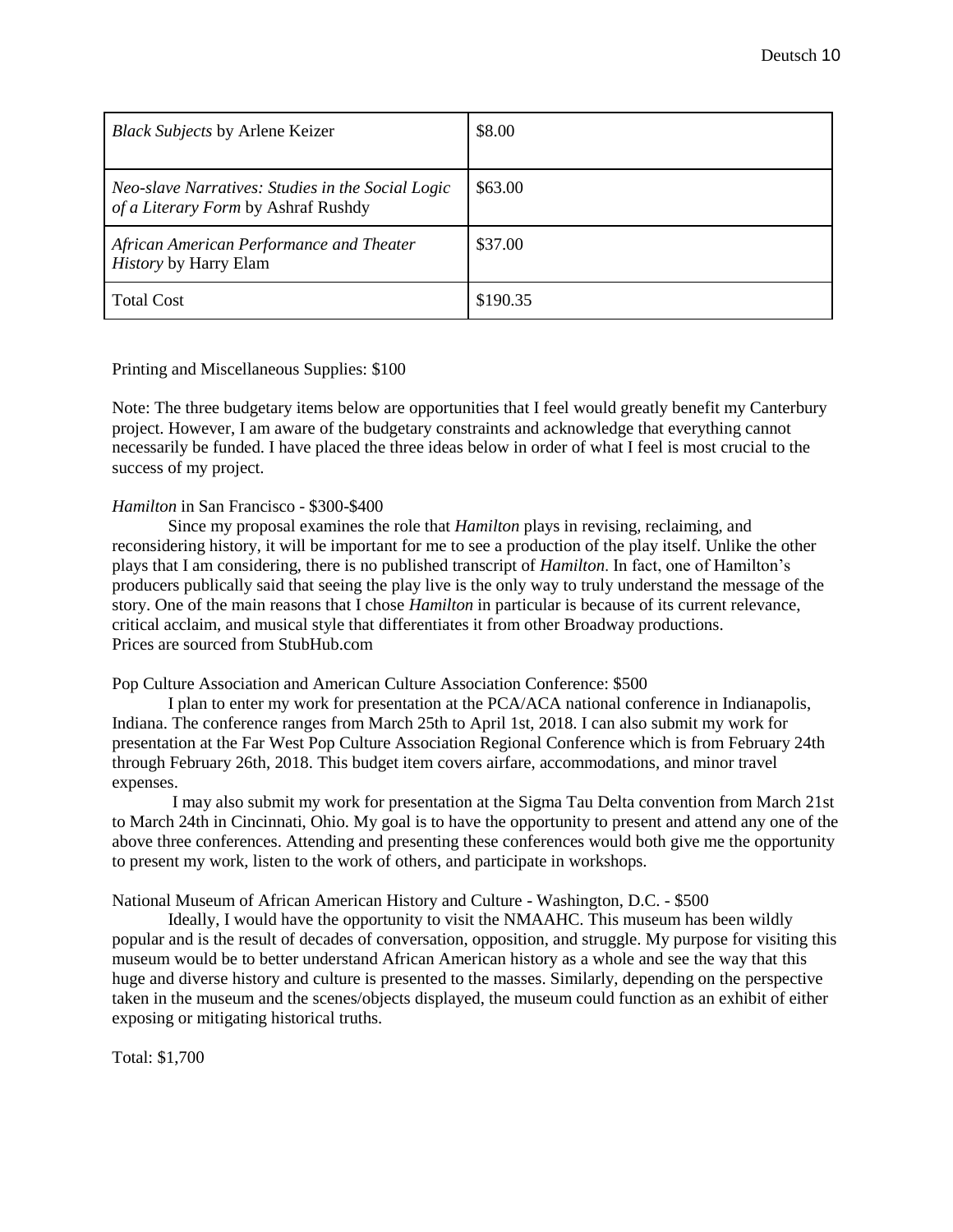| <b>Black Subjects by Arlene Keizer</b>                                                   | \$8.00   |
|------------------------------------------------------------------------------------------|----------|
| Neo-slave Narratives: Studies in the Social Logic<br>of a Literary Form by Ashraf Rushdy | \$63.00  |
| African American Performance and Theater<br><i>History</i> by Harry Elam                 | \$37.00  |
| <b>Total Cost</b>                                                                        | \$190.35 |

#### Printing and Miscellaneous Supplies: \$100

Note: The three budgetary items below are opportunities that I feel would greatly benefit my Canterbury project. However, I am aware of the budgetary constraints and acknowledge that everything cannot necessarily be funded. I have placed the three ideas below in order of what I feel is most crucial to the success of my project.

#### *Hamilton* in San Francisco - \$300-\$400

Since my proposal examines the role that *Hamilton* plays in revising, reclaiming, and reconsidering history, it will be important for me to see a production of the play itself. Unlike the other plays that I am considering, there is no published transcript of *Hamilton*. In fact, one of Hamilton's producers publically said that seeing the play live is the only way to truly understand the message of the story. One of the main reasons that I chose *Hamilton* in particular is because of its current relevance, critical acclaim, and musical style that differentiates it from other Broadway productions. Prices are sourced from StubHub.com

### Pop Culture Association and American Culture Association Conference: \$500

I plan to enter my work for presentation at the PCA/ACA national conference in Indianapolis, Indiana. The conference ranges from March 25th to April 1st, 2018. I can also submit my work for presentation at the Far West Pop Culture Association Regional Conference which is from February 24th through February 26th, 2018. This budget item covers airfare, accommodations, and minor travel expenses.

I may also submit my work for presentation at the Sigma Tau Delta convention from March 21st to March 24th in Cincinnati, Ohio. My goal is to have the opportunity to present and attend any one of the above three conferences. Attending and presenting these conferences would both give me the opportunity to present my work, listen to the work of others, and participate in workshops.

### National Museum of African American History and Culture - Washington, D.C. - \$500

Ideally, I would have the opportunity to visit the NMAAHC. This museum has been wildly popular and is the result of decades of conversation, opposition, and struggle. My purpose for visiting this museum would be to better understand African American history as a whole and see the way that this huge and diverse history and culture is presented to the masses. Similarly, depending on the perspective taken in the museum and the scenes/objects displayed, the museum could function as an exhibit of either exposing or mitigating historical truths.

Total: \$1,700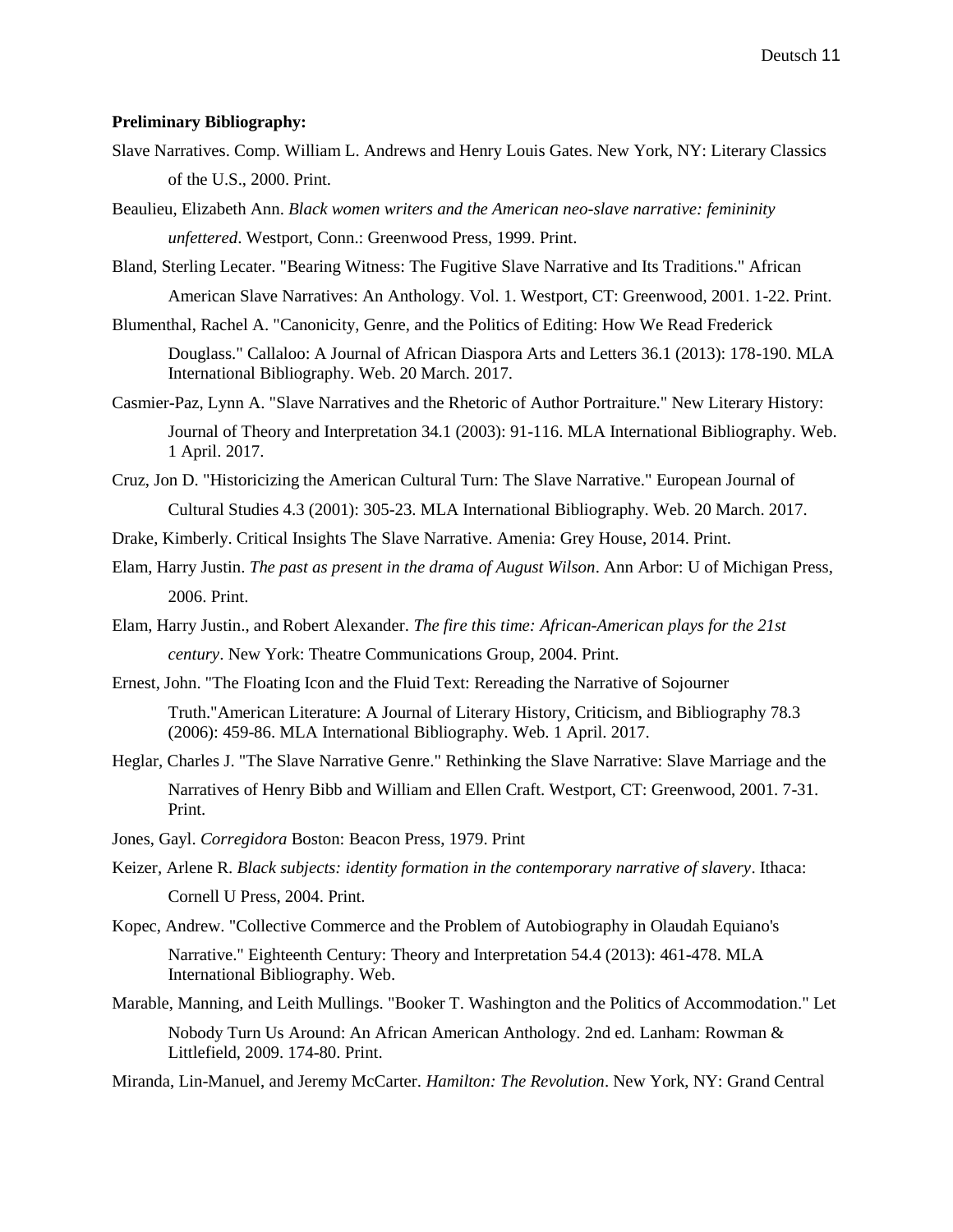#### **Preliminary Bibliography:**

- Slave Narratives. Comp. William L. Andrews and Henry Louis Gates. New York, NY: Literary Classics of the U.S., 2000. Print.
- Beaulieu, Elizabeth Ann. *Black women writers and the American neo-slave narrative: femininity unfettered*. Westport, Conn.: Greenwood Press, 1999. Print.

Bland, Sterling Lecater. "Bearing Witness: The Fugitive Slave Narrative and Its Traditions." African American Slave Narratives: An Anthology. Vol. 1. Westport, CT: Greenwood, 2001. 1-22. Print.

Blumenthal, Rachel A. "Canonicity, Genre, and the Politics of Editing: How We Read Frederick

Douglass." Callaloo: A Journal of African Diaspora Arts and Letters 36.1 (2013): 178-190. MLA International Bibliography. Web. 20 March. 2017.

Casmier-Paz, Lynn A. "Slave Narratives and the Rhetoric of Author Portraiture." New Literary History: Journal of Theory and Interpretation 34.1 (2003): 91-116. MLA International Bibliography. Web. 1 April. 2017.

- Cruz, Jon D. "Historicizing the American Cultural Turn: The Slave Narrative." European Journal of Cultural Studies 4.3 (2001): 305-23. MLA International Bibliography. Web. 20 March. 2017.
- Drake, Kimberly. Critical Insights The Slave Narrative. Amenia: Grey House, 2014. Print.
- Elam, Harry Justin. *The past as present in the drama of August Wilson*. Ann Arbor: U of Michigan Press, 2006. Print.
- Elam, Harry Justin., and Robert Alexander. *The fire this time: African-American plays for the 21st century*. New York: Theatre Communications Group, 2004. Print.
- Ernest, John. "The Floating Icon and the Fluid Text: Rereading the Narrative of Sojourner Truth."American Literature: A Journal of Literary History, Criticism, and Bibliography 78.3 (2006): 459-86. MLA International Bibliography. Web. 1 April. 2017.
- Heglar, Charles J. "The Slave Narrative Genre." Rethinking the Slave Narrative: Slave Marriage and the Narratives of Henry Bibb and William and Ellen Craft. Westport, CT: Greenwood, 2001. 7-31. Print.
- Jones, Gayl. *Corregidora* Boston: Beacon Press, 1979. Print
- Keizer, Arlene R. *Black subjects: identity formation in the contemporary narrative of slavery*. Ithaca: Cornell U Press, 2004. Print.
- Kopec, Andrew. "Collective Commerce and the Problem of Autobiography in Olaudah Equiano's

Narrative." Eighteenth Century: Theory and Interpretation 54.4 (2013): 461-478. MLA International Bibliography. Web.

Marable, Manning, and Leith Mullings. "Booker T. Washington and the Politics of Accommodation." Let

Nobody Turn Us Around: An African American Anthology. 2nd ed. Lanham: Rowman & Littlefield, 2009. 174-80. Print.

Miranda, Lin-Manuel, and Jeremy McCarter. *Hamilton: The Revolution*. New York, NY: Grand Central